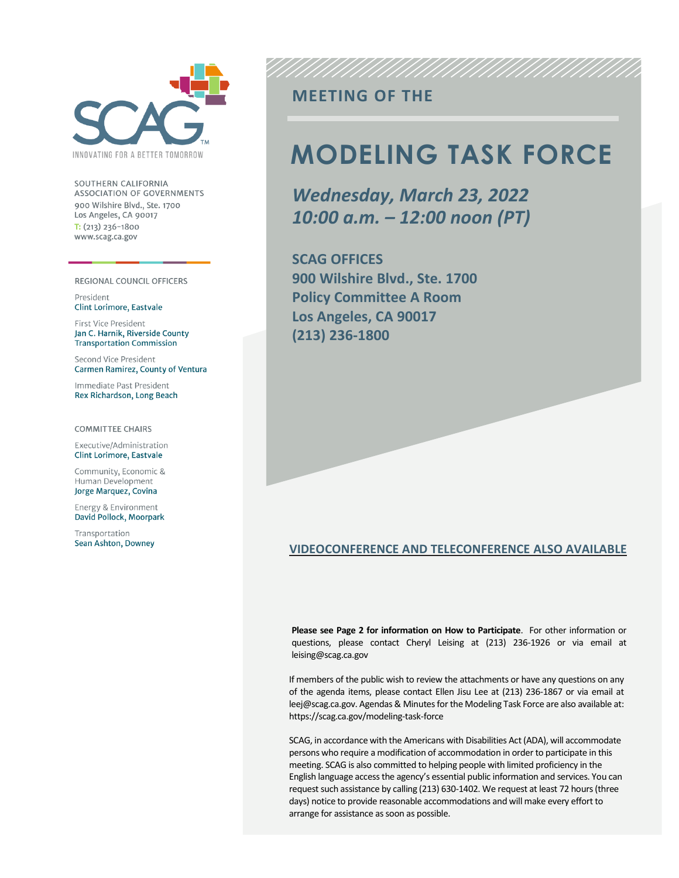

SOUTHERN CALIFORNIA **ASSOCIATION OF GOVERNMENTS** 900 Wilshire Blvd., Ste. 1700 Los Angeles, CA 90017  $T: (213)$  236-1800 www.scag.ca.gov

#### REGIONAL COUNCIL OFFICERS

President **Clint Lorimore, Eastvale** 

First Vice President Jan C. Harnik, Riverside County **Transportation Commission** 

Second Vice President Carmen Ramirez, County of Ventura

Immediate Past President Rex Richardson, Long Beach

**COMMITTEE CHAIRS** 

Executive/Administration Clint Lorimore, Eastvale

Community, Economic & Human Development Jorge Marquez, Covina

Energy & Environment David Pollock, Moorpark

Transportation Sean Ashton, Downey

### **MEETING OF THE**

# **MODELING TASK FORCE**

*Wednesday, March 23, 2022 10:00 a.m. – 12:00 noon (PT)*

**SCAG OFFICES 900 Wilshire Blvd., Ste. 1700 Policy Committee A Room Los Angeles, CA 90017 (213) 236-1800**

#### **VIDEOCONFERENCE AND TELECONFERENCE ALSO AVAILABLE**

**Please see Page 2 for information on How to Participate**. For other information or questions, please contact Cheryl Leising at (213) 236-1926 or via email at leising@scag.ca.gov

If members of the public wish to review the attachments or have any questions on any of the agenda items, please contact Ellen Jisu Lee at (213) 236-1867 or via email at leej@scag.ca.gov. Agendas & Minutes for the Modeling Task Force are also available at: https://scag.ca.gov/modeling-task-force

SCAG, in accordance with the Americans with Disabilities Act (ADA), will accommodate persons who require a modification of accommodation in order to participate in this meeting. SCAG is also committed to helping people with limited proficiency in the English language access the agency's essential public information and services. You can request such assistance by calling (213) 630-1402. We request at least 72 hours (three days) notice to provide reasonable accommodations and will make every effort to arrange for assistance as soon as possible.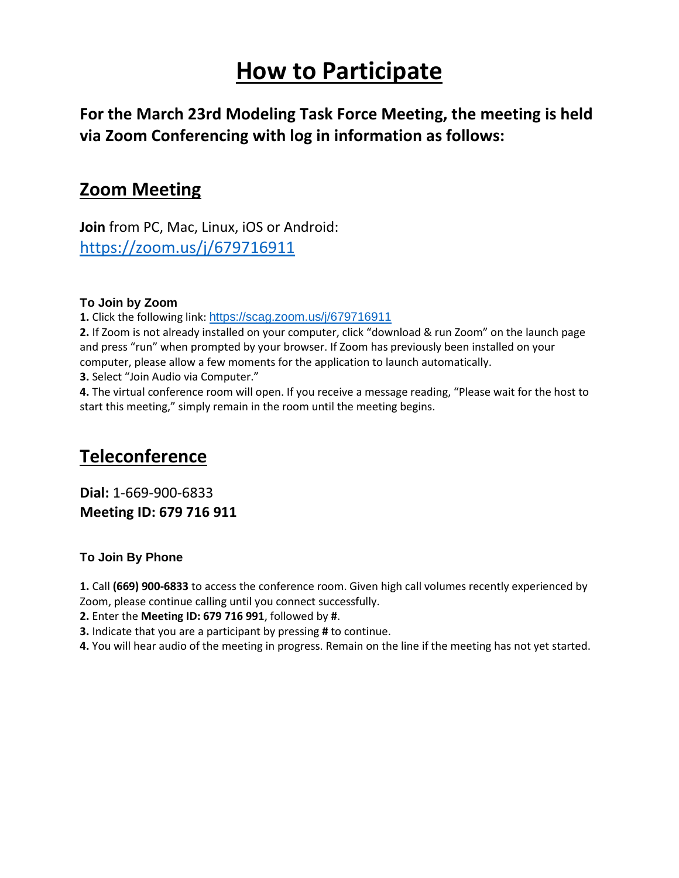# **How to Participate**

**For the March 23rd Modeling Task Force Meeting, the meeting is held via Zoom Conferencing with log in information as follows:**

### **Zoom Meeting**

**Join** from PC, Mac, Linux, iOS or Android: <https://zoom.us/j/679716911>

### **To Join by Zoom**

**1.** Click the following link: <https://scag.zoom.us/j/679716911>

**2.** If Zoom is not already installed on your computer, click "download & run Zoom" on the launch page and press "run" when prompted by your browser. If Zoom has previously been installed on your computer, please allow a few moments for the application to launch automatically.

**3.** Select "Join Audio via Computer."

**4.** The virtual conference room will open. If you receive a message reading, "Please wait for the host to start this meeting," simply remain in the room until the meeting begins.

## **Teleconference**

**Dial:** 1-669-900-6833 **Meeting ID: 679 716 911**

### **To Join By Phone**

**1.** Call **(669) 900‐6833** to access the conference room. Given high call volumes recently experienced by

Zoom, please continue calling until you connect successfully.

**2.** Enter the **Meeting ID: 679 716 991**, followed by **#**.

**3.** Indicate that you are a participant by pressing **#** to continue.

**4.** You will hear audio of the meeting in progress. Remain on the line if the meeting has not yet started.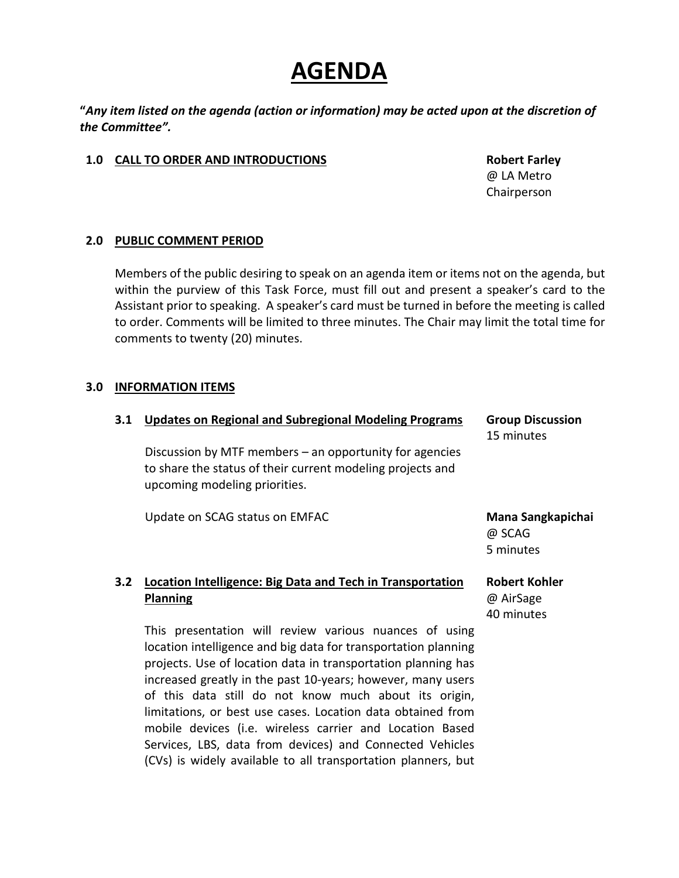## **AGENDA**

**"***Any item listed on the agenda (action or information) may be acted upon at the discretion of the Committee".*

#### **1.0 CALL TO ORDER AND INTRODUCTIONS Robert Farley**

@ LA Metro Chairperson

### **2.0 PUBLIC COMMENT PERIOD**

Members of the public desiring to speak on an agenda item or items not on the agenda, but within the purview of this Task Force, must fill out and present a speaker's card to the Assistant prior to speaking. A speaker's card must be turned in before the meeting is called to order. Comments will be limited to three minutes. The Chair may limit the total time for comments to twenty (20) minutes.

### **3.0 INFORMATION ITEMS**

| 3.1 | <b>Updates on Regional and Subregional Modeling Programs</b><br>Discussion by MTF members - an opportunity for agencies<br>to share the status of their current modeling projects and<br>upcoming modeling priorities.                                                                                            | <b>Group Discussion</b><br>15 minutes           |
|-----|-------------------------------------------------------------------------------------------------------------------------------------------------------------------------------------------------------------------------------------------------------------------------------------------------------------------|-------------------------------------------------|
|     | Update on SCAG status on EMFAC                                                                                                                                                                                                                                                                                    | Mana Sangkapichai<br>@ SCAG<br>5 minutes        |
| 3.2 | <b>Location Intelligence: Big Data and Tech in Transportation</b><br><b>Planning</b>                                                                                                                                                                                                                              | <b>Robert Kohler</b><br>@ AirSage<br>40 minutes |
|     | This presentation will review various nuances of using<br>location intelligence and big data for transportation planning<br>projects. Use of location data in transportation planning has<br>increased greatly in the past 10-years; however, many users<br>of this data still do not know much about its origin, |                                                 |

Services, LBS, data from devices) and Connected Vehicles (CVs) is widely available to all transportation planners, but